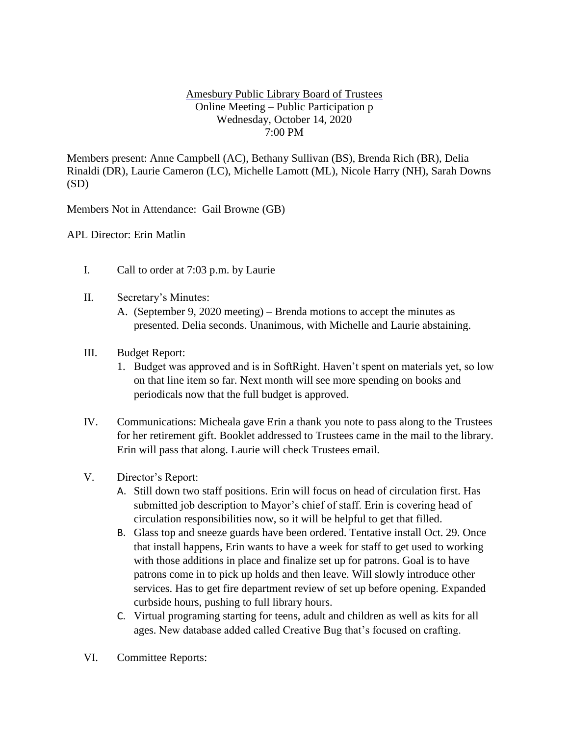## Amesbury Public Library Board of Trustees Online Meeting – Public Participation p Wednesday, October 14, 2020 7:00 PM

Members present: Anne Campbell (AC), Bethany Sullivan (BS), Brenda Rich (BR), Delia Rinaldi (DR), Laurie Cameron (LC), Michelle Lamott (ML), Nicole Harry (NH), Sarah Downs (SD)

Members Not in Attendance: Gail Browne (GB)

APL Director: Erin Matlin

- I. Call to order at 7:03 p.m. by Laurie
- II. Secretary's Minutes:
	- A. (September 9, 2020 meeting) Brenda motions to accept the minutes as presented. Delia seconds. Unanimous, with Michelle and Laurie abstaining.
- III. Budget Report:
	- 1. Budget was approved and is in SoftRight. Haven't spent on materials yet, so low on that line item so far. Next month will see more spending on books and periodicals now that the full budget is approved.
- IV. Communications: Micheala gave Erin a thank you note to pass along to the Trustees for her retirement gift. Booklet addressed to Trustees came in the mail to the library. Erin will pass that along. Laurie will check Trustees email.
- V. Director's Report:
	- A. Still down two staff positions. Erin will focus on head of circulation first. Has submitted job description to Mayor's chief of staff. Erin is covering head of circulation responsibilities now, so it will be helpful to get that filled.
	- B. Glass top and sneeze guards have been ordered. Tentative install Oct. 29. Once that install happens, Erin wants to have a week for staff to get used to working with those additions in place and finalize set up for patrons. Goal is to have patrons come in to pick up holds and then leave. Will slowly introduce other services. Has to get fire department review of set up before opening. Expanded curbside hours, pushing to full library hours.
	- C. Virtual programing starting for teens, adult and children as well as kits for all ages. New database added called Creative Bug that's focused on crafting.
- VI. Committee Reports: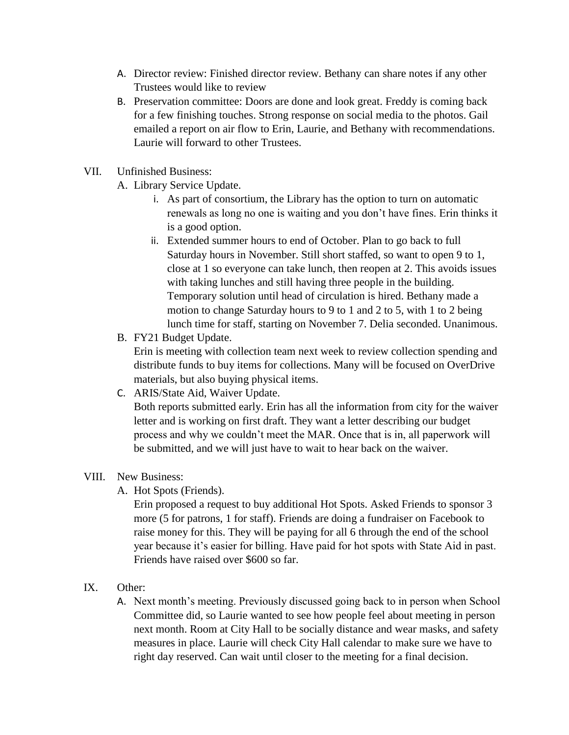- A. Director review: Finished director review. Bethany can share notes if any other Trustees would like to review
- B. Preservation committee: Doors are done and look great. Freddy is coming back for a few finishing touches. Strong response on social media to the photos. Gail emailed a report on air flow to Erin, Laurie, and Bethany with recommendations. Laurie will forward to other Trustees.
- VII. Unfinished Business:
	- A. Library Service Update.
		- i. As part of consortium, the Library has the option to turn on automatic renewals as long no one is waiting and you don't have fines. Erin thinks it is a good option.
		- ii. Extended summer hours to end of October. Plan to go back to full Saturday hours in November. Still short staffed, so want to open 9 to 1, close at 1 so everyone can take lunch, then reopen at 2. This avoids issues with taking lunches and still having three people in the building. Temporary solution until head of circulation is hired. Bethany made a motion to change Saturday hours to 9 to 1 and 2 to 5, with 1 to 2 being lunch time for staff, starting on November 7. Delia seconded. Unanimous.
	- B. FY21 Budget Update.

Erin is meeting with collection team next week to review collection spending and distribute funds to buy items for collections. Many will be focused on OverDrive materials, but also buying physical items.

C. ARIS/State Aid, Waiver Update. Both reports submitted early. Erin has all the information from city for the waiver letter and is working on first draft. They want a letter describing our budget process and why we couldn't meet the MAR. Once that is in, all paperwork will be submitted, and we will just have to wait to hear back on the waiver.

## VIII. New Business:

A. Hot Spots (Friends).

Erin proposed a request to buy additional Hot Spots. Asked Friends to sponsor 3 more (5 for patrons, 1 for staff). Friends are doing a fundraiser on Facebook to raise money for this. They will be paying for all 6 through the end of the school year because it's easier for billing. Have paid for hot spots with State Aid in past. Friends have raised over \$600 so far.

- IX. Other:
	- A. Next month's meeting. Previously discussed going back to in person when School Committee did, so Laurie wanted to see how people feel about meeting in person next month. Room at City Hall to be socially distance and wear masks, and safety measures in place. Laurie will check City Hall calendar to make sure we have to right day reserved. Can wait until closer to the meeting for a final decision.